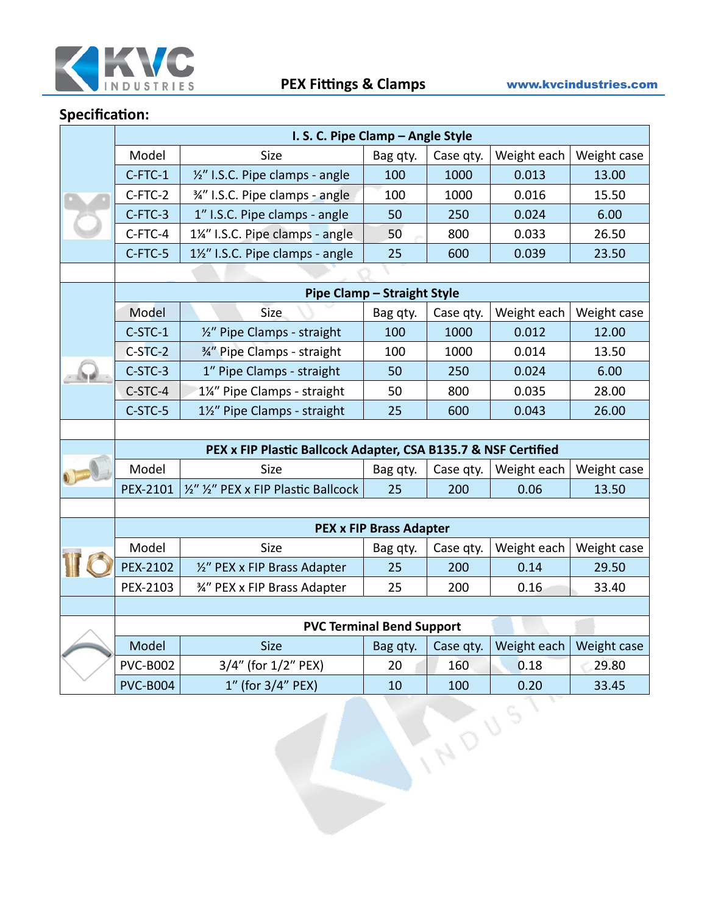

|  | I. S. C. Pipe Clamp - Angle Style                              |                                      |          |           |             |             |  |  |
|--|----------------------------------------------------------------|--------------------------------------|----------|-----------|-------------|-------------|--|--|
|  | Model                                                          | Size                                 | Bag qty. | Case qty. | Weight each | Weight case |  |  |
|  | C-FTC-1                                                        | 1/2" I.S.C. Pipe clamps - angle      | 100      | 1000      | 0.013       | 13.00       |  |  |
|  | C-FTC-2                                                        | 3/4" I.S.C. Pipe clamps - angle      | 100      | 1000      | 0.016       | 15.50       |  |  |
|  | C-FTC-3                                                        | 1" I.S.C. Pipe clamps - angle        | 50       | 250       | 0.024       | 6.00        |  |  |
|  | C-FTC-4                                                        | 1¼" I.S.C. Pipe clamps - angle       | 50       | 800       | 0.033       | 26.50       |  |  |
|  | C-FTC-5                                                        | 1½" I.S.C. Pipe clamps - angle       | 25       | 600       | 0.039       | 23.50       |  |  |
|  |                                                                |                                      |          |           |             |             |  |  |
|  | <b>Pipe Clamp - Straight Style</b>                             |                                      |          |           |             |             |  |  |
|  | Model                                                          | Size                                 | Bag qty. | Case qty. | Weight each | Weight case |  |  |
|  | C-STC-1                                                        | 1/2" Pipe Clamps - straight          | 100      | 1000      | 0.012       | 12.00       |  |  |
|  | C-STC-2                                                        | 3/4" Pipe Clamps - straight          | 100      | 1000      | 0.014       | 13.50       |  |  |
|  | C-STC-3                                                        | 1" Pipe Clamps - straight            | 50       | 250       | 0.024       | 6.00        |  |  |
|  | C-STC-4                                                        | 1¼" Pipe Clamps - straight           | 50       | 800       | 0.035       | 28.00       |  |  |
|  | C-STC-5                                                        | 1½" Pipe Clamps - straight           | 25       | 600       | 0.043       | 26.00       |  |  |
|  |                                                                |                                      |          |           |             |             |  |  |
|  | PEX x FIP Plastic Ballcock Adapter, CSA B135.7 & NSF Certified |                                      |          |           |             |             |  |  |
|  | Model                                                          | <b>Size</b>                          | Bag qty. | Case qty. | Weight each | Weight case |  |  |
|  | PEX-2101                                                       | 1/2" 1/2" PEX x FIP Plastic Ballcock | 25       | 200       | 0.06        | 13.50       |  |  |
|  |                                                                |                                      |          |           |             |             |  |  |
|  | <b>PEX x FIP Brass Adapter</b>                                 |                                      |          |           |             |             |  |  |
|  | Model                                                          | Size                                 | Bag qty. | Case qty. | Weight each | Weight case |  |  |
|  | PEX-2102                                                       | 1/2" PEX x FIP Brass Adapter         | 25       | 200       | 0.14        | 29.50       |  |  |
|  | PEX-2103                                                       | 34" PEX x FIP Brass Adapter          | 25       | 200       | 0.16        | 33.40       |  |  |
|  |                                                                |                                      |          |           |             |             |  |  |
|  | <b>PVC Terminal Bend Support</b>                               |                                      |          |           |             |             |  |  |
|  | Model                                                          | Size                                 | Bag qty. | Case qty. | Weight each | Weight case |  |  |
|  | <b>PVC-B002</b>                                                | 3/4" (for 1/2" PEX)                  | 20       | 160       | 0.18        | 29.80       |  |  |
|  | <b>PVC-B004</b>                                                | 1" (for 3/4" PEX)                    | 10       | 100       | 0.20        | 33.45       |  |  |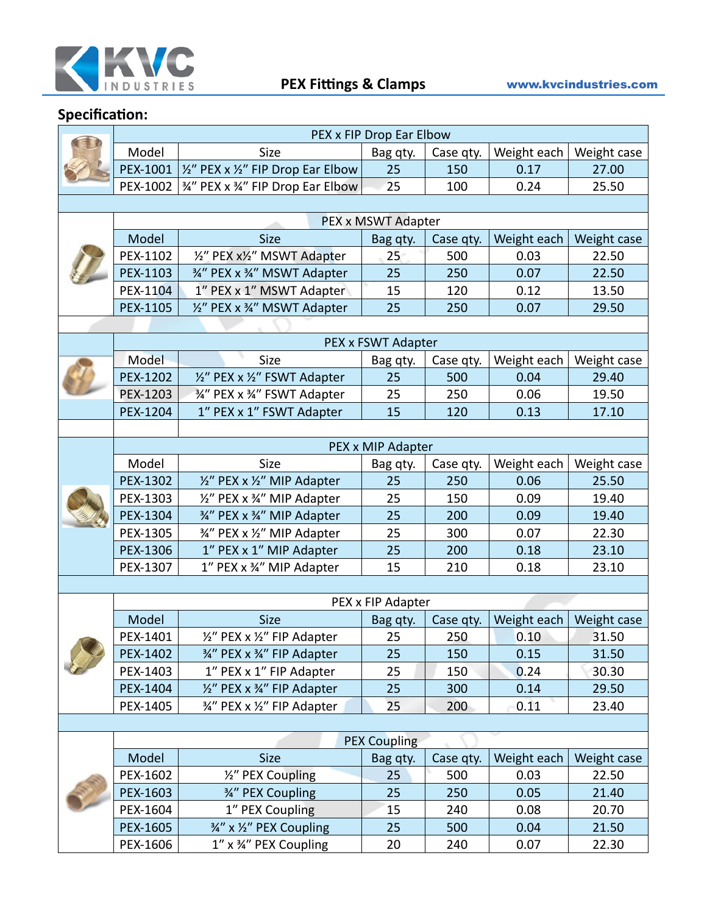

|  | PEX x FIP Drop Ear Elbow   |                                            |                    |                  |                     |                      |  |  |
|--|----------------------------|--------------------------------------------|--------------------|------------------|---------------------|----------------------|--|--|
|  | Model                      | <b>Size</b>                                | Bag qty.           | Case qty.        | Weight each         | Weight case          |  |  |
|  | PEX-1001                   | 1/2" PEX x 1/2" FIP Drop Ear Elbow         | 25                 | 150              | 0.17                | 27.00                |  |  |
|  | PEX-1002                   | 34" PEX x 34" FIP Drop Ear Elbow           | 25                 | 100              | 0.24                | 25.50                |  |  |
|  |                            |                                            |                    |                  |                     |                      |  |  |
|  | PEX x MSWT Adapter         |                                            |                    |                  |                     |                      |  |  |
|  | Model                      | <b>Size</b>                                | Bag qty.           | Case qty.        | Weight each         | Weight case          |  |  |
|  | PEX-1102                   | 1/2" PEX x1/2" MSWT Adapter                | 25                 | 500              | 0.03                | 22.50                |  |  |
|  | PEX-1103                   | 3/4" PEX x 3/4" MSWT Adapter               | 25                 | 250              | 0.07                | 22.50                |  |  |
|  | PEX-1104                   | 1" PEX x 1" MSWT Adapter                   | 15                 | 120              | 0.12                | 13.50                |  |  |
|  | PEX-1105                   | 1/2" PEX x 3/4" MSWT Adapter               | 25                 | 250              | 0.07                | 29.50                |  |  |
|  |                            |                                            |                    |                  |                     |                      |  |  |
|  |                            |                                            | PEX x FSWT Adapter |                  |                     |                      |  |  |
|  | Model                      | Size                                       | Bag qty.           | Case qty.        | Weight each         | Weight case          |  |  |
|  | PEX-1202                   | 1/2" PEX x 1/2" FSWT Adapter               | 25                 | 500              | 0.04                | 29.40                |  |  |
|  | PEX-1203                   | 3/4" PEX x 3/4" FSWT Adapter               | 25                 | 250              | 0.06                | 19.50                |  |  |
|  | PEX-1204                   | 1" PEX x 1" FSWT Adapter                   | 15                 | 120              | 0.13                | 17.10                |  |  |
|  |                            |                                            |                    |                  |                     |                      |  |  |
|  |                            |                                            | PEX x MIP Adapter  |                  |                     |                      |  |  |
|  | Model                      | Size                                       | Bag qty.           | Case qty.        | Weight each         | Weight case          |  |  |
|  | PEX-1302                   | 1/2" PEX x 1/2" MIP Adapter                | 25                 | 250              | 0.06                | 25.50                |  |  |
|  | PEX-1303                   | 1/2" PEX x 3/4" MIP Adapter                | 25                 | 150              | 0.09                | 19.40                |  |  |
|  | PEX-1304                   | 3/4" PEX x 3/4" MIP Adapter                | 25                 | 200              | 0.09                | 19.40                |  |  |
|  | PEX-1305                   | 3/4" PEX x 1/2" MIP Adapter                | 25                 | 300              | 0.07                | 22.30                |  |  |
|  | PEX-1306                   | 1" PEX x 1" MIP Adapter                    | 25                 | 200              | 0.18                | 23.10                |  |  |
|  | PEX-1307                   | 1" PEX x 34" MIP Adapter                   | 15                 | 210              | 0.18                | 23.10                |  |  |
|  |                            |                                            |                    |                  |                     |                      |  |  |
|  | PEX x FIP Adapter<br>Model |                                            |                    |                  |                     |                      |  |  |
|  | PEX-1401                   | <b>Size</b><br>1/2" PEX x 1/2" FIP Adapter | Bag qty.<br>25     | Case qty.<br>250 | Weight each<br>0.10 | Weight case<br>31.50 |  |  |
|  | PEX-1402                   | 3/4" PEX x 3/4" FIP Adapter                | 25                 | 150              | 0.15                | 31.50                |  |  |
|  | PEX-1403                   | 1" PEX x 1" FIP Adapter                    | 25                 | 150              | 0.24                | 30.30                |  |  |
|  | PEX-1404                   | 1/2" PEX x 3/4" FIP Adapter                | 25                 | 300              | 0.14                | 29.50                |  |  |
|  | PEX-1405                   | 3/4" PEX x 1/2" FIP Adapter                | 25                 | 200              | 0.11                | 23.40                |  |  |
|  |                            |                                            |                    |                  |                     |                      |  |  |
|  | <b>PEX Coupling</b>        |                                            |                    |                  |                     |                      |  |  |
|  | Model                      | <b>Size</b>                                | Bag qty.           | Case qty.        | Weight each         | Weight case          |  |  |
|  | PEX-1602                   | 1/2" PEX Coupling                          | 25                 | 500              | 0.03                | 22.50                |  |  |
|  | PEX-1603                   | 3⁄4" PEX Coupling                          | 25                 | 250              | 0.05                | 21.40                |  |  |
|  | PEX-1604                   | 1" PEX Coupling                            | 15                 | 240              | 0.08                | 20.70                |  |  |
|  | PEX-1605                   | 3/4" x 1/2" PEX Coupling                   | 25                 | 500              | 0.04                | 21.50                |  |  |
|  | PEX-1606                   | 1" x 34" PEX Coupling                      | 20                 | 240              | 0.07                | 22.30                |  |  |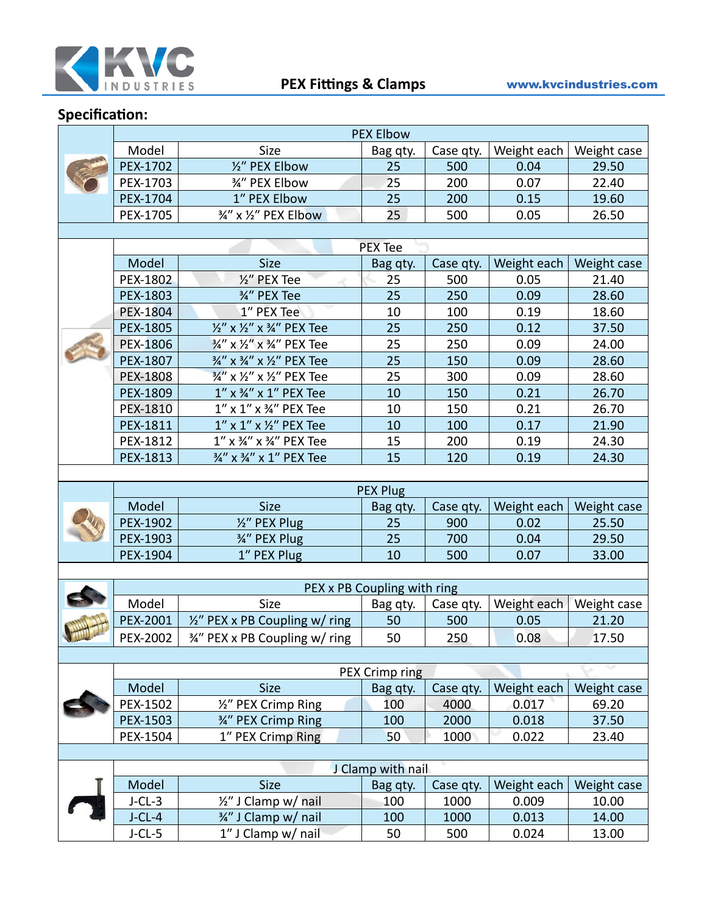

|                   | <b>PEX Elbow</b>            |                                         |                |           |             |             |  |  |
|-------------------|-----------------------------|-----------------------------------------|----------------|-----------|-------------|-------------|--|--|
|                   | Model                       | Size                                    | Bag qty.       | Case qty. | Weight each | Weight case |  |  |
|                   | PEX-1702                    | 1/2" PEX Elbow                          | 25             | 500       | 0.04        | 29.50       |  |  |
|                   | PEX-1703                    | 3/4" PEX Elbow                          | 25             | 200       | 0.07        | 22.40       |  |  |
|                   | PEX-1704                    | 1" PEX Elbow                            | 25             | 200       | 0.15        | 19.60       |  |  |
|                   | PEX-1705                    | 3/4" x 1/2" PEX Elbow                   | 25             | 500       | 0.05        | 26.50       |  |  |
|                   |                             |                                         |                |           |             |             |  |  |
|                   | <b>PEX Tee</b>              |                                         |                |           |             |             |  |  |
|                   | Model                       | <b>Size</b>                             | Bag qty.       | Case qty. | Weight each | Weight case |  |  |
|                   | PEX-1802                    | 1/2" PEX Tee                            | 25             | 500       | 0.05        | 21.40       |  |  |
|                   | PEX-1803                    | 3/4" PEX Tee                            | 25             | 250       | 0.09        | 28.60       |  |  |
|                   | PEX-1804                    | 1" PEX Tee                              | 10             | 100       | 0.19        | 18.60       |  |  |
|                   | PEX-1805                    | 1/2" x 1/2" x 3/4" PEX Tee              | 25             | 250       | 0.12        | 37.50       |  |  |
|                   | PEX-1806                    | 3/4" x 1/2" x 3/4" PEX Tee              | 25             | 250       | 0.09        | 24.00       |  |  |
|                   | <b>PEX-1807</b>             | 3/4" x 3/4" x 1/2" PEX Tee              | 25             | 150       | 0.09        | 28.60       |  |  |
|                   | <b>PEX-1808</b>             | 3/4" x 1/2" x 1/2" PEX Tee              | 25             | 300       | 0.09        | 28.60       |  |  |
|                   | PEX-1809                    | 1" x 3/4" x 1" PEX Tee                  | 10             | 150       | 0.21        | 26.70       |  |  |
|                   | PEX-1810                    | 1" x 1" x 34" PEX Tee                   | 10             | 150       | 0.21        | 26.70       |  |  |
|                   | PEX-1811                    | $1''$ x $1''$ x $\frac{1}{2}''$ PEX Tee | 10             | 100       | 0.17        | 21.90       |  |  |
|                   | PEX-1812                    | 1" x 3/4" x 3/4" PEX Tee                | 15             | 200       | 0.19        | 24.30       |  |  |
|                   | PEX-1813                    | 3/4" x 3/4" x 1" PEX Tee                | 15             | 120       | 0.19        | 24.30       |  |  |
|                   |                             |                                         |                |           |             |             |  |  |
|                   | <b>PEX Plug</b>             |                                         |                |           |             |             |  |  |
|                   | Model                       | <b>Size</b>                             | Bag qty.       | Case qty. | Weight each | Weight case |  |  |
|                   | PEX-1902                    | 1/2" PEX Plug                           | 25             | 900       | 0.02        | 25.50       |  |  |
|                   | PEX-1903                    | 3/4" PEX Plug                           | 25             | 700       | 0.04        | 29.50       |  |  |
|                   | PEX-1904                    | 1" PEX Plug                             | 10             | 500       | 0.07        | 33.00       |  |  |
|                   |                             |                                         |                |           |             |             |  |  |
|                   | PEX x PB Coupling with ring |                                         |                |           |             |             |  |  |
|                   | Model                       | Size                                    | Bag qty.       | Case qty. | Weight each | Weight case |  |  |
|                   | PEX-2001                    | 1/2" PEX x PB Coupling w/ ring          | 50             | 500       | 0.05        | 21.20       |  |  |
|                   | PEX-2002                    | 3/4" PEX x PB Coupling w/ ring          | 50             | 250       | 0.08        | 17.50       |  |  |
|                   |                             |                                         |                |           |             |             |  |  |
|                   |                             |                                         | PEX Crimp ring |           |             |             |  |  |
|                   | Model                       | <b>Size</b>                             | Bag qty.       | Case qty. | Weight each | Weight case |  |  |
|                   | PEX-1502                    | 1/2" PEX Crimp Ring                     | 100            | 4000      | 0.017       | 69.20       |  |  |
|                   | PEX-1503                    | 3/4" PEX Crimp Ring                     | 100            | 2000      | 0.018       | 37.50       |  |  |
|                   | PEX-1504                    | 1" PEX Crimp Ring                       | 50             | 1000      | 0.022       | 23.40       |  |  |
|                   |                             |                                         |                |           |             |             |  |  |
| J Clamp with nail |                             |                                         |                |           |             |             |  |  |
|                   | Model                       | Size                                    | Bag qty.       | Case qty. | Weight each | Weight case |  |  |
|                   | $J$ -CL-3                   | $\frac{1}{2}$ " J Clamp w/ nail         | 100            | 1000      | 0.009       | 10.00       |  |  |
|                   | $J$ -CL-4                   | 3/4" J Clamp w/ nail                    | 100            | 1000      | 0.013       | 14.00       |  |  |
|                   | $J-CL-5$                    | 1" J Clamp w/ nail                      | 50             | 500       | 0.024       | 13.00       |  |  |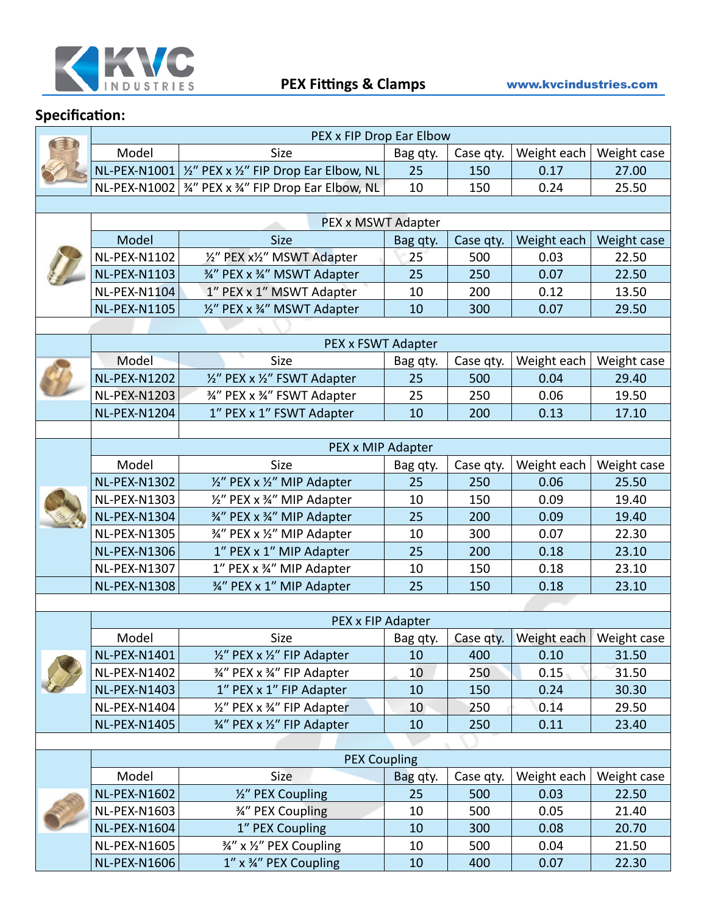

|  | PEX x FIP Drop Ear Elbow |                                                                           |          |           |                   |                           |  |
|--|--------------------------|---------------------------------------------------------------------------|----------|-----------|-------------------|---------------------------|--|
|  | Model                    | Size                                                                      | Bag qty. | Case qty. | Weight each       | Weight case               |  |
|  | NL-PEX-N1001             | 1/2" PEX x 1/2" FIP Drop Ear Elbow, NL                                    | 25       | 150       | 0.17              | 27.00                     |  |
|  |                          | NL-PEX-N1002 $\frac{3}{4}$ " PEX x $\frac{3}{4}$ " FIP Drop Ear Elbow, NL | 10       | 150       | 0.24              | 25.50                     |  |
|  |                          |                                                                           |          |           |                   |                           |  |
|  | PEX x MSWT Adapter       |                                                                           |          |           |                   |                           |  |
|  | Model                    | <b>Size</b>                                                               | Bag qty. | Case qty. | Weight each       | Weight case               |  |
|  | <b>NL-PEX-N1102</b>      | 1/2" PEX x1/2" MSWT Adapter                                               | 25       | 500       | 0.03              | 22.50                     |  |
|  | <b>NL-PEX-N1103</b>      | 3/4" PEX x 3/4" MSWT Adapter                                              | 25       | 250       | 0.07              | 22.50                     |  |
|  | NL-PEX-N1104             | 1" PEX x 1" MSWT Adapter                                                  | 10       | 200       | 0.12              | 13.50                     |  |
|  | <b>NL-PEX-N1105</b>      | 1/2" PEX x 3/4" MSWT Adapter                                              | 10       | 300       | 0.07              | 29.50                     |  |
|  |                          |                                                                           |          |           |                   |                           |  |
|  |                          | PEX x FSWT Adapter                                                        |          |           |                   |                           |  |
|  | Model                    | Size                                                                      | Bag qty. | Case qty. | Weight each       | Weight case               |  |
|  | <b>NL-PEX-N1202</b>      | 1/2" PEX x 1/2" FSWT Adapter                                              | 25       | 500       | 0.04              | 29.40                     |  |
|  | <b>NL-PEX-N1203</b>      | 34" PEX x 34" FSWT Adapter                                                | 25       | 250       | 0.06              | 19.50                     |  |
|  | <b>NL-PEX-N1204</b>      | 1" PEX x 1" FSWT Adapter                                                  | 10       | 200       | 0.13              | 17.10                     |  |
|  |                          |                                                                           |          |           |                   |                           |  |
|  |                          | PEX x MIP Adapter                                                         |          |           |                   |                           |  |
|  | Model                    | Size                                                                      | Bag qty. | Case qty. | Weight each       | Weight case               |  |
|  | <b>NL-PEX-N1302</b>      | 1/2" PEX x 1/2" MIP Adapter                                               | 25       | 250       | 0.06              | 25.50                     |  |
|  | <b>NL-PEX-N1303</b>      | 1/2" PEX x 3/4" MIP Adapter                                               | 10       | 150       | 0.09              | 19.40                     |  |
|  | <b>NL-PEX-N1304</b>      | 3/4" PEX x 3/4" MIP Adapter                                               | 25       | 200       | 0.09              | 19.40                     |  |
|  | <b>NL-PEX-N1305</b>      | 3/4" PEX x 1/2" MIP Adapter                                               | 10       | 300       | 0.07              | 22.30                     |  |
|  | <b>NL-PEX-N1306</b>      | 1" PEX x 1" MIP Adapter                                                   | 25       | 200       | 0.18              | 23.10                     |  |
|  | NL-PEX-N1307             | 1" PEX x 34" MIP Adapter                                                  | 10       | 150       | 0.18              | 23.10                     |  |
|  | <b>NL-PEX-N1308</b>      | 3/4" PEX x 1" MIP Adapter                                                 | 25       | 150       | 0.18              | 23.10                     |  |
|  |                          |                                                                           |          |           |                   |                           |  |
|  |                          | PEX x FIP Adapter                                                         |          |           |                   |                           |  |
|  | Model                    | Size                                                                      | Bag qty. | Case qty. |                   | Weight each   Weight case |  |
|  | <b>NL-PEX-N1401</b>      | 1/2" PEX x 1/2" FIP Adapter                                               | 10       | 400       | 0.10              | 31.50                     |  |
|  | <b>NL-PEX-N1402</b>      | 3/4" PEX x 3/4" FIP Adapter                                               | 10       | 250       | $0.15 -$          | 31.50                     |  |
|  | <b>NL-PEX-N1403</b>      | 1" PEX x 1" FIP Adapter                                                   | 10       | 150       | 0.24              | 30.30                     |  |
|  | NL-PEX-N1404             | 1/2" PEX x 3/4" FIP Adapter                                               | 10       | 250       | $0.\overline{1}4$ | 29.50                     |  |
|  | <b>NL-PEX-N1405</b>      | 3/4" PEX x 1/2" FIP Adapter                                               | 10       | 250       | 0.11              | 23.40                     |  |
|  |                          |                                                                           |          |           |                   |                           |  |
|  |                          | <b>PEX Coupling</b>                                                       |          |           |                   |                           |  |
|  | Model                    | Size                                                                      | Bag qty. | Case qty. | Weight each       | Weight case               |  |
|  | <b>NL-PEX-N1602</b>      | 1/2" PEX Coupling                                                         | 25       | 500       | 0.03              | 22.50                     |  |
|  | <b>NL-PEX-N1603</b>      | 3/4" PEX Coupling                                                         | 10       | 500       | 0.05              | 21.40                     |  |
|  | <b>NL-PEX-N1604</b>      | 1" PEX Coupling                                                           | 10       | 300       | 0.08              | 20.70                     |  |
|  | <b>NL-PEX-N1605</b>      | 3/4" x 1/2" PEX Coupling                                                  | 10       | 500       | 0.04              | 21.50                     |  |
|  | <b>NL-PEX-N1606</b>      | 1" x 34" PEX Coupling                                                     | 10       | 400       | 0.07              | 22.30                     |  |